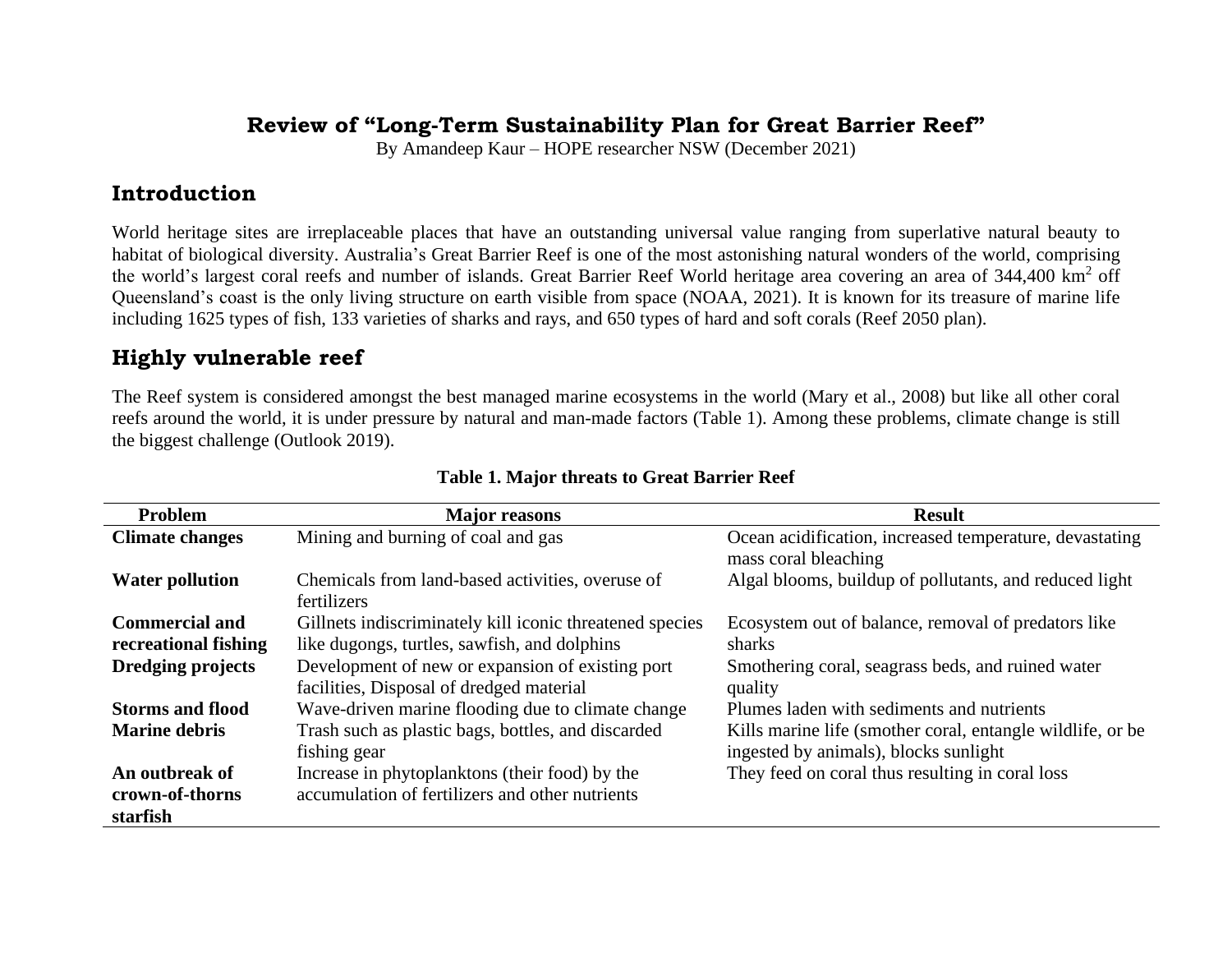## **Review of "Long-Term Sustainability Plan for Great Barrier Reef"**

By Amandeep Kaur – HOPE researcher NSW (December 2021)

## **Introduction**

World heritage sites are irreplaceable places that have an outstanding universal value ranging from superlative natural beauty to habitat of biological diversity. Australia's Great Barrier Reef is one of the most astonishing natural wonders of the world, comprising the world's largest coral reefs and number of islands. Great Barrier Reef World heritage area covering an area of 344,400 km<sup>2</sup> off Queensland's coast is the only living structure on earth visible from space (NOAA, 2021). It is known for its treasure of marine life including 1625 types of fish, 133 varieties of sharks and rays, and 650 types of hard and soft corals (Reef 2050 plan).

# **Highly vulnerable reef**

The Reef system is considered amongst the best managed marine ecosystems in the world (Mary et al., 2008) but like all other coral reefs around the world, it is under pressure by natural and man-made factors (Table 1). Among these problems, climate change is still the biggest challenge (Outlook 2019).

| <b>Problem</b>                                | <b>Major</b> reasons                                                                                     | <b>Result</b>                                                                                        |
|-----------------------------------------------|----------------------------------------------------------------------------------------------------------|------------------------------------------------------------------------------------------------------|
| <b>Climate changes</b>                        | Mining and burning of coal and gas                                                                       | Ocean acidification, increased temperature, devastating<br>mass coral bleaching                      |
| <b>Water pollution</b>                        | Chemicals from land-based activities, overuse of<br>fertilizers                                          | Algal blooms, buildup of pollutants, and reduced light                                               |
| <b>Commercial and</b><br>recreational fishing | Gillnets indiscriminately kill iconic threatened species<br>like dugongs, turtles, sawfish, and dolphins | Ecosystem out of balance, removal of predators like<br>sharks                                        |
| <b>Dredging projects</b>                      | Development of new or expansion of existing port<br>facilities, Disposal of dredged material             | Smothering coral, seagrass beds, and ruined water<br>quality                                         |
| <b>Storms and flood</b>                       | Wave-driven marine flooding due to climate change                                                        | Plumes laden with sediments and nutrients                                                            |
| <b>Marine debris</b>                          | Trash such as plastic bags, bottles, and discarded<br>fishing gear                                       | Kills marine life (smother coral, entangle wildlife, or be.<br>ingested by animals), blocks sunlight |
| An outbreak of<br>crown-of-thorns<br>starfish | Increase in phytoplanktons (their food) by the<br>accumulation of fertilizers and other nutrients        | They feed on coral thus resulting in coral loss                                                      |

#### **Table 1. Major threats to Great Barrier Reef**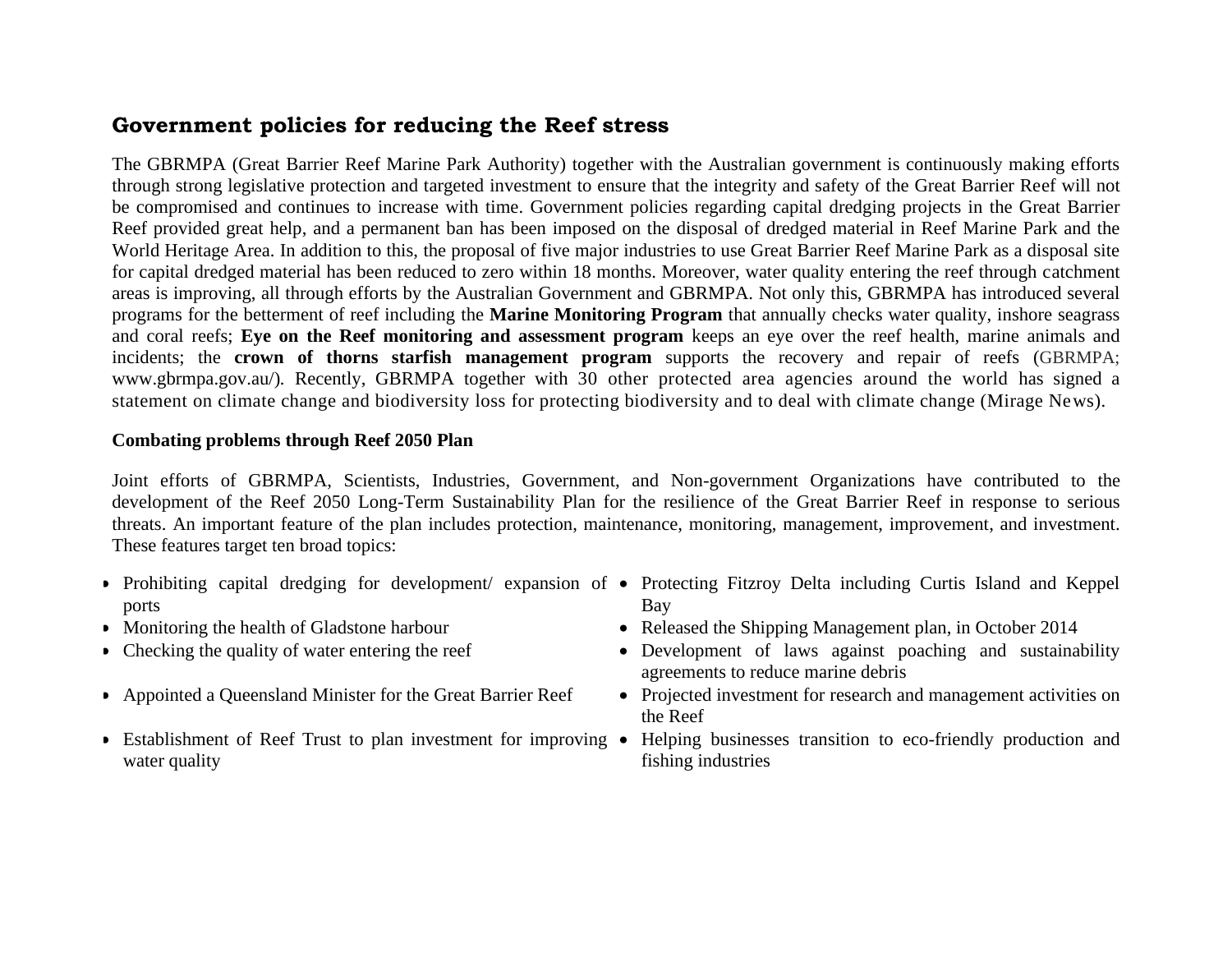#### **Government policies for reducing the Reef stress**

The GBRMPA (Great Barrier Reef Marine Park Authority) together with the Australian government is continuously making efforts through strong legislative protection and targeted investment to ensure that the integrity and safety of the Great Barrier Reef will not be compromised and continues to increase with time. Government policies regarding capital dredging projects in the Great Barrier Reef provided great help, and a permanent ban has been imposed on the disposal of dredged material in Reef Marine Park and the World Heritage Area. In addition to this, the proposal of five major industries to use Great Barrier Reef Marine Park as a disposal site for capital dredged material has been reduced to zero within 18 months. Moreover, water quality entering the reef through catchment areas is improving, all through efforts by the Australian Government and GBRMPA. Not only this, GBRMPA has introduced several programs for the betterment of reef including the **[Marine Monitoring Program](https://www.gbrmpa.gov.au/our-work/our-programs-and-projects/marine-monitoring-program)** that annually checks water quality, inshore seagrass and coral reefs; **[Eye on the Reef](https://www.gbrmpa.gov.au/our-work/eye-on-the-reef) monitoring and assessment program** keeps an eye over the reef health, marine animals and incidents; the **crown of thorns starfish management program** supports the recovery and repair of reefs (GBRMPA; [www.gbrmpa.gov.au/\)](http://www.gbrmpa.gov.au/)*.* Recently, GBRMPA together with 30 other protected area agencies around the world has signed [a](https://www.gbrmpa.gov.au/__data/assets/pdf_file/0010/272494/Protected-and-Conserved-Areas-Joint-Statement-FINAL-version-20-OCT-21.pdf?utm_source=miragenews&utm_medium=miragenews&utm_campaign=news) statement on climate change and [biodiversity](https://www.gbrmpa.gov.au/__data/assets/pdf_file/0010/272494/Protected-and-Conserved-Areas-Joint-Statement-FINAL-version-20-OCT-21.pdf?utm_source=miragenews&utm_medium=miragenews&utm_campaign=news) loss for protecting biodiversity and to deal with climate change (Mirage News).

#### **Combating problems through Reef 2050 Plan**

Joint efforts of GBRMPA, Scientists, Industries, Government, and Non-government Organizations have contributed to the development of the Reef 2050 Long-Term Sustainability Plan for the resilience of the Great Barrier Reef in response to serious threats. An important feature of the plan includes protection, maintenance, monitoring, management, improvement, and investment. These features target ten broad topics:

- Prohibiting capital dredging for development/ expansion of Protecting Fitzroy Delta including Curtis Island and Keppel ports Bay
- 
- 
- 
- water quality
- 
- Monitoring the health of Gladstone harbour Released the Shipping Management plan, in October 2014
- Checking the quality of water entering the reef Development of laws against poaching and sustainability agreements to reduce marine debris
- Appointed a Queensland Minister for the Great Barrier Reef Projected investment for research and management activities on the Reef
- Establishment of Reef Trust to plan investment for improving Helping businesses transition to eco-friendly production and fishing industries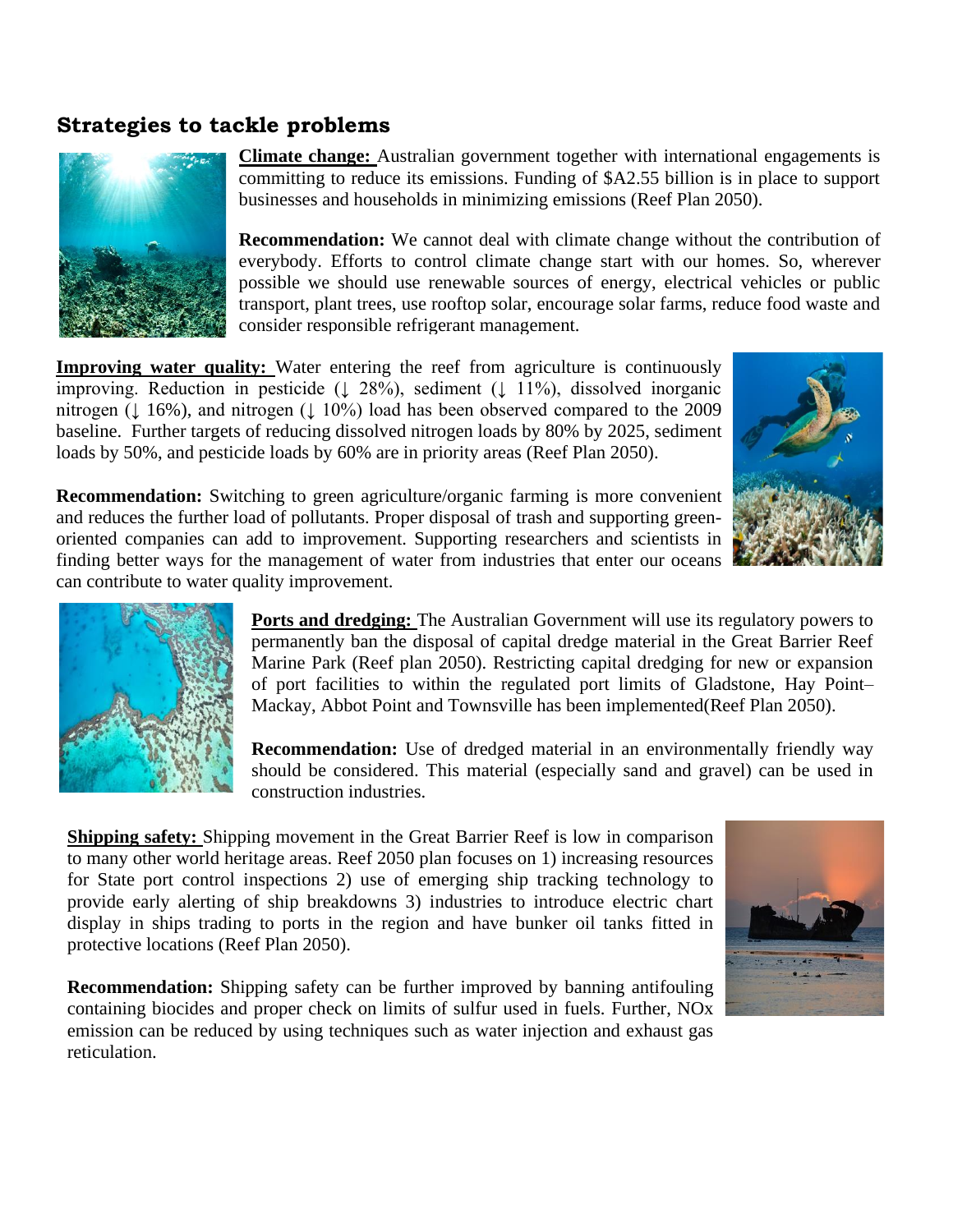## **Strategies to tackle problems**



**Climate change:** Australian government together with international engagements is committing to reduce its emissions. Funding of \$A2.55 billion is in place to support businesses and households in minimizing emissions (Reef Plan 2050).

**Recommendation:** We cannot deal with climate change without the contribution of everybody. Efforts to control climate change start with our homes. So, wherever possible we should use renewable sources of energy, electrical vehicles or public transport, plant trees, use rooftop solar, encourage solar farms, reduce food waste and consider responsible refrigerant management.

**Improving water quality:** Water entering the reef from agriculture is continuously improving. Reduction in pesticide (↓ 28%), sediment (↓ 11%), dissolved inorganic nitrogen (↓ 16%), and nitrogen (↓ 10%) load has been observed compared to the 2009 baseline. Further targets of reducing dissolved nitrogen loads by 80% by 2025, sediment loads by 50%, and pesticide loads by 60% are in priority areas (Reef Plan 2050).



**Recommendation:** Switching to green agriculture/organic farming is more convenient and reduces the further load of pollutants. Proper disposal of trash and supporting greenoriented companies can add to improvement. Supporting researchers and scientists in finding better ways for the management of water from industries that enter our oceans can contribute to water quality improvement.



**Ports and dredging:** The Australian Government will use its regulatory powers to permanently ban the disposal of capital dredge material in the Great Barrier Reef Marine Park (Reef plan 2050). Restricting capital dredging for new or expansion of port facilities to within the regulated port limits of Gladstone, Hay Point– Mackay, Abbot Point and Townsville has been implemented(Reef Plan 2050).

**Recommendation:** Use of dredged material in an environmentally friendly way should be considered. This material (especially sand and gravel) can be used in construction industries.

**Shipping safety:** Shipping movement in the Great Barrier Reef is low in comparison to many other world heritage areas. Reef 2050 plan focuses on 1) increasing resources for State port control inspections 2) use of emerging ship tracking technology to provide early alerting of ship breakdowns 3) industries to introduce electric chart display in ships trading to ports in the region and have bunker oil tanks fitted in protective locations (Reef Plan 2050).

**Recommendation:** Shipping safety can be further improved by banning antifouling containing biocides and proper check on limits of sulfur used in fuels. Further, NOx emission can be reduced by using techniques such as water injection and exhaust gas reticulation.